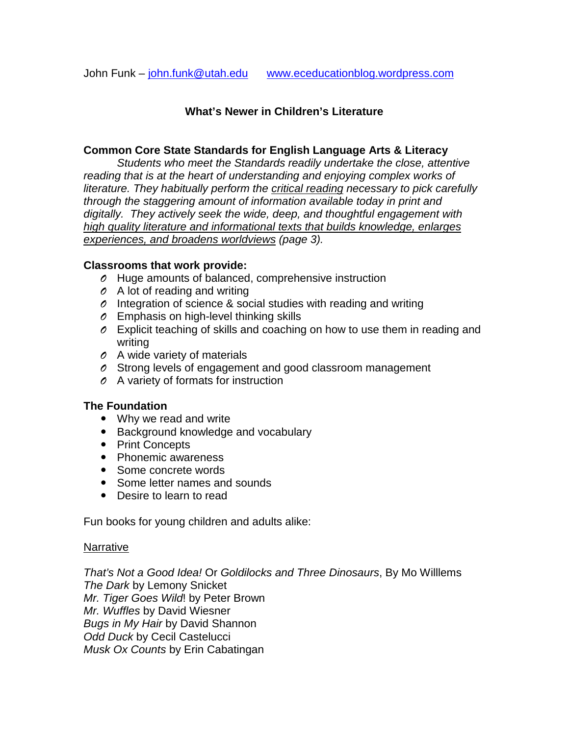#### **What's Newer in Children's Literature**

#### **Common Core State Standards for English Language Arts & Literacy**

*Students who meet the Standards readily undertake the close, attentive reading that is at the heart of understanding and enjoying complex works of literature. They habitually perform the critical reading necessary to pick carefully through the staggering amount of information available today in print and digitally. They actively seek the wide, deep, and thoughtful engagement with high quality literature and informational texts that builds knowledge, enlarges experiences, and broadens worldviews (page 3).*

#### **Classrooms that work provide:**

- *O* Huge amounts of balanced, comprehensive instruction
- *O* A lot of reading and writing
- *O* Integration of science & social studies with reading and writing
- *O* Emphasis on high-level thinking skills
- *O* Explicit teaching of skills and coaching on how to use them in reading and writing
- *O* A wide variety of materials
- *O* Strong levels of engagement and good classroom management
- *O* A variety of formats for instruction

#### **The Foundation**

- Why we read and write
- Background knowledge and vocabulary
- Print Concepts
- Phonemic awareness
- Some concrete words
- Some letter names and sounds
- Desire to learn to read

Fun books for young children and adults alike:

#### Narrative

*That's Not a Good Idea!* Or *Goldilocks and Three Dinosaurs*, By Mo Willlems *The Dark* by Lemony Snicket *Mr. Tiger Goes Wild*! by Peter Brown *Mr. Wuffles* by David Wiesner *Bugs in My Hair* by David Shannon *Odd Duck* by Cecil Castelucci *Musk Ox Counts* by Erin Cabatingan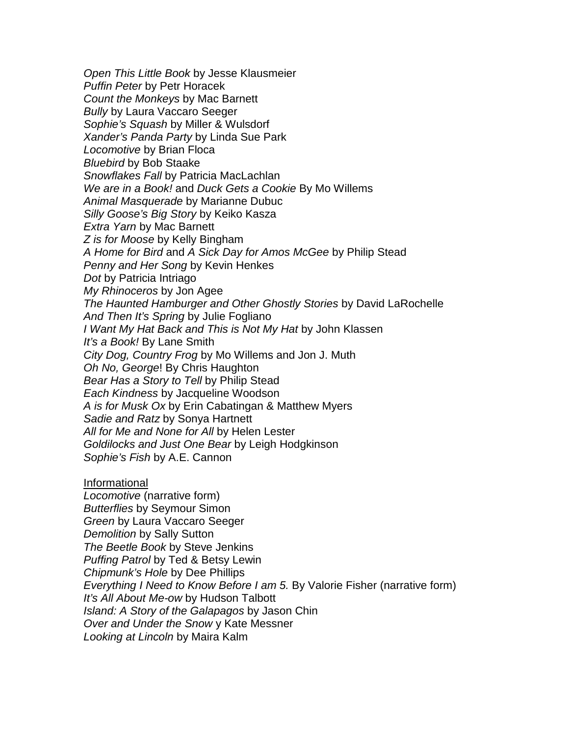*Open This Little Book* by Jesse Klausmeier *Puffin Peter* by Petr Horacek *Count the Monkeys* by Mac Barnett *Bully* by Laura Vaccaro Seeger *Sophie's Squash* by Miller & Wulsdorf *Xander's Panda Party* by Linda Sue Park *Locomotive* by Brian Floca *Bluebird* by Bob Staake *Snowflakes Fall* by Patricia MacLachlan *We are in a Book!* and *Duck Gets a Cookie* By Mo Willems *Animal Masquerade* by Marianne Dubuc *Silly Goose's Big Story* by Keiko Kasza *Extra Yarn* by Mac Barnett *Z is for Moose* by Kelly Bingham *A Home for Bird* and *A Sick Day for Amos McGee* by Philip Stead *Penny and Her Song* by Kevin Henkes *Dot* by Patricia Intriago *My Rhinoceros* by Jon Agee *The Haunted Hamburger and Other Ghostly Stories* by David LaRochelle *And Then It's Spring* by Julie Fogliano *I Want My Hat Back and This is Not My Hat* by John Klassen *It's a Book!* By Lane Smith *City Dog, Country Frog* by Mo Willems and Jon J. Muth *Oh No, George*! By Chris Haughton *Bear Has a Story to Tell* by Philip Stead *Each Kindness* by Jacqueline Woodson *A is for Musk Ox* by Erin Cabatingan & Matthew Myers *Sadie and Ratz* by Sonya Hartnett *All for Me and None for All* by Helen Lester *Goldilocks and Just One Bear* by Leigh Hodgkinson *Sophie's Fish* by A.E. Cannon Informational *Locomotive* (narrative form)

*Butterflies* by Seymour Simon *Green* by Laura Vaccaro Seeger *Demolition* by Sally Sutton *The Beetle Book* by Steve Jenkins *Puffing Patrol* by Ted & Betsy Lewin *Chipmunk's Hole* by Dee Phillips *Everything I Need to Know Before I am 5.* By Valorie Fisher (narrative form) *It's All About Me-ow* by Hudson Talbott *Island: A Story of the Galapagos* by Jason Chin *Over and Under the Snow* y Kate Messner *Looking at Lincoln* by Maira Kalm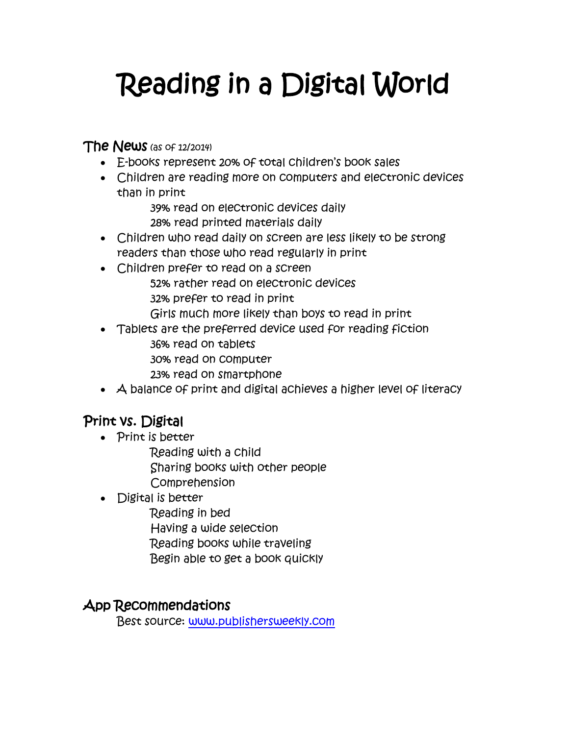# Reading in a Digital World

**The News** (as of 12/2014)

- E-books represent 20% of total children's book sales
- Children are reading more on computers and electronic devices than in print
	- 39% read on electronic devices daily
	- 28% read printed materials daily
- Children who read daily on screen are less likely to be strong readers than those who read regularly in print
- Children prefer to read on a screen 52% rather read on electronic devices 32% prefer to read in print Girls much more likely than boys to read in print
- Tablets are the preferred device used for reading fiction 36% read on tablets 30% read on computer
	- 23% read on smartphone
- A balance of print and digital achieves a higher level of literacy

## Print vs. Digital

- Print is better
	- Reading with a child Sharing books with other people Comprehension
- Digital is better
	- Reading in bed
	- Having a wide selection
	- Reading books while traveling
	- Begin able to get a book quickly

### App Recommendations

Best source: [www.publishersweekly.com](http://www.publishersweekly.com/)